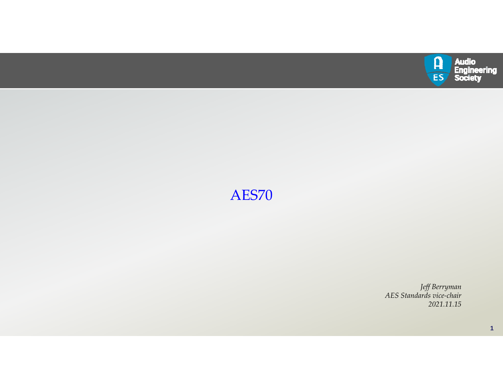

# AES70

*Jeff Berryman AES Standards vice‐chair 2021.11.15*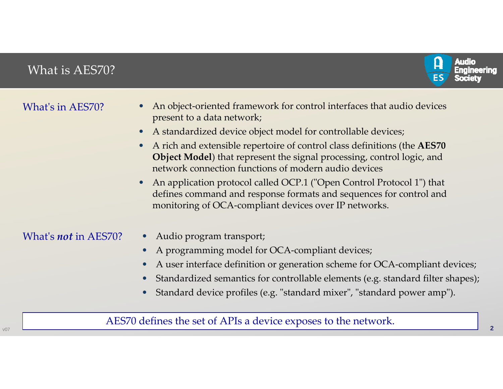# What is AES70?



| What's in AES70?            | An object-oriented framework for control interfaces that audio devices<br>present to a data network;                                                                                                               |
|-----------------------------|--------------------------------------------------------------------------------------------------------------------------------------------------------------------------------------------------------------------|
|                             | A standardized device object model for controllable devices;                                                                                                                                                       |
|                             | A rich and extensible repertoire of control class definitions (the AES70<br><b>Object Model</b> ) that represent the signal processing, control logic, and<br>network connection functions of modern audio devices |
|                             | An application protocol called OCP.1 ("Open Control Protocol 1") that<br>defines command and response formats and sequences for control and<br>monitoring of OCA-compliant devices over IP networks.               |
| What's <i>not</i> in AES70? | Audio program transport;                                                                                                                                                                                           |
|                             | A programming model for OCA-compliant devices;                                                                                                                                                                     |
|                             | A user interface definition or generation scheme for OCA-compliant devices;                                                                                                                                        |
|                             | Standardized semantics for controllable elements (e.g. standard filter shapes);                                                                                                                                    |
|                             | Standard device profiles (e.g. "standard mixer", "standard power amp").<br>$\bullet$                                                                                                                               |
|                             | AES70 defines the set of APIs a device exposes to the network.                                                                                                                                                     |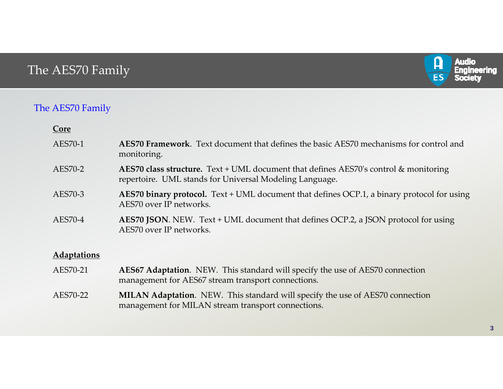# The AES70 Family



## The AES70 Family

| <u>Core</u>        |                                                                                                                                                    |
|--------------------|----------------------------------------------------------------------------------------------------------------------------------------------------|
| AES70-1            | <b>AES70 Framework.</b> Text document that defines the basic AES70 mechanisms for control and<br>monitoring.                                       |
| AES70-2            | AES70 class structure. Text + UML document that defines AES70's control $\&$ monitoring<br>repertoire. UML stands for Universal Modeling Language. |
| AES70-3            | <b>AES70 binary protocol.</b> Text + UML document that defines OCP.1, a binary protocol for using<br>AES70 over IP networks.                       |
| AES70-4            | AES70 JSON. NEW. Text + UML document that defines OCP.2, a JSON protocol for using<br>AES70 over IP networks.                                      |
| <b>Adaptations</b> |                                                                                                                                                    |
| AES70-21           | <b>AES67 Adaptation.</b> NEW. This standard will specify the use of AES70 connection<br>management for AES67 stream transport connections.         |
| AES70-22           | <b>MILAN Adaptation.</b> NEW. This standard will specify the use of AES70 connection<br>management for MILAN stream transport connections.         |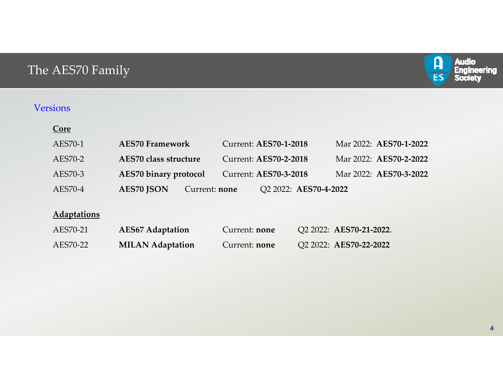# The AES70 Family



### Versions

| or |  |
|----|--|
|    |  |

| AES70-1 | <b>AES70 Framework</b>                    | <b>Current: AES70-1-2018</b> | Mar 2022: AES70-1-2022 |
|---------|-------------------------------------------|------------------------------|------------------------|
| AES70-2 | AES70 class structure                     | <b>Current: AES70-2-2018</b> | Mar 2022: AES70-2-2022 |
| AES70-3 | <b>AES70 binary protocol</b>              | <b>Current: AES70-3-2018</b> | Mar 2022: AES70-3-2022 |
| AES70-4 | <b>AES70 JSON</b><br>Current: <b>none</b> | Q2 2022: AES70-4-2022        |                        |

## **Adaptations**

| AES70-21 | <b>AES67 Adaptation</b> | Current: <b>none</b> | Q2 2022: AES70-21-2022. |
|----------|-------------------------|----------------------|-------------------------|
| AES70-22 | <b>MILAN Adaptation</b> | Current: <b>none</b> | Q2 2022: AES70-22-2022  |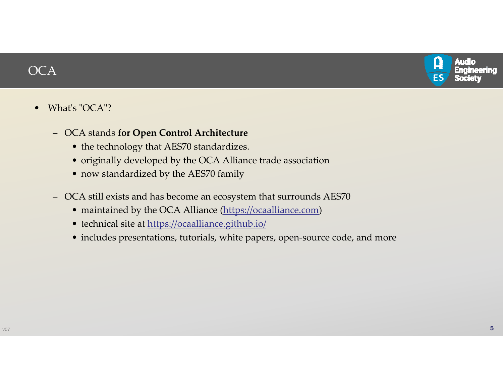

# **OCA**

### $\bullet$ What's "OCA"?

- OCA stands **for Open Control Architecture**
	- the technology that AES70 standardizes.
	- originally developed by the OCA Alliance trade association
	- now standardized by the AES70 family
- OCA still exists and has become an ecosystem that surrounds AES70
	- maintained by the OCA Alliance (https://ocaalliance.com)
	- technical site at https://ocaalliance.github.io/
	- includes presentations, tutorials, white papers, open‐source code, and more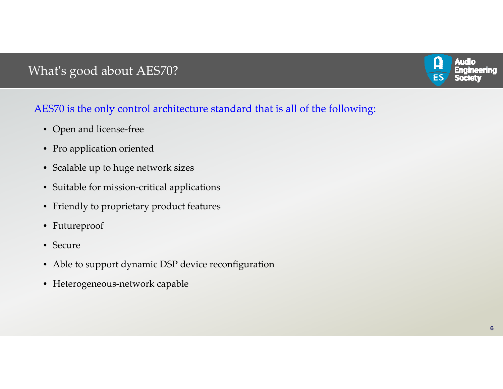# What's good about AES70?



## AES70 is the only control architecture standard that is all of the following:

- Open and license‐free
- Pro application oriented
- Scalable up to huge network sizes
- Suitable for mission‐critical applications
- Friendly to proprietary product features
- Futureproof
- Secure
- Able to suppor<sup>t</sup> dynamic DSP device reconfiguration
- Heterogeneous‐network capable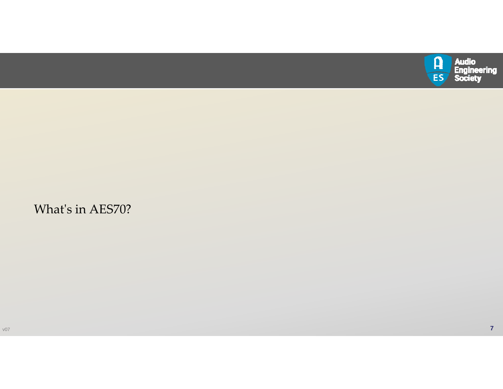

## What<sup>ʹ</sup><sup>s</sup> in AES70?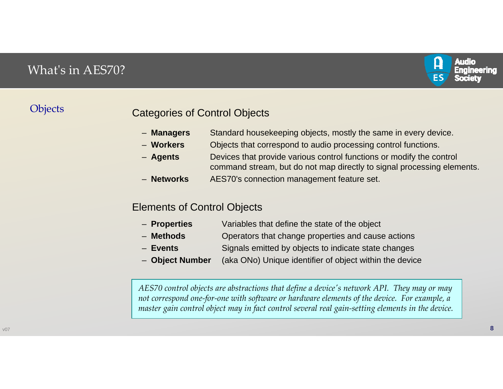# What<sup>ʹ</sup><sup>s</sup> in AES70?



## **Objects**

## Categories of Control Objects

- Managers Standard housekeeping objects, mostly the same in every device.
- –Objects that correspond to audio processing control functions.
- Agents **Agents** Devices that provide various control functions or modify the control command stream, but do not map directly to signal processing elements.
- Networks AES70's connection management feature set.

## Elements of Control Objects

- Properties Variables that define the state of the object
- –**Methods** Operators that change properties and cause actions
- –**Events** Signals emitted by objects to indicate state changes
- Object Number (aka ONo) Unique identifier of object within the device

*AES70 control objects are abstractions that define <sup>a</sup> device<sup>ʹ</sup><sup>s</sup> network API. They may or may* not correspond one-for-one with software or hardware elements of the device. For example, a *master gain control object may in fact control several real gain‐setting elements in the device.*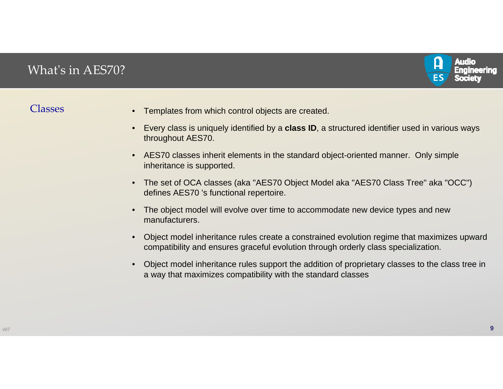# What<sup>ʹ</sup><sup>s</sup> in AES70?



## Classes •

- Templates from which control objects are created.
- Every class is uniquely identified by a **class ID**, a structured identifier used in various ways throughout AES70.
- • AES70 classes inherit elements in the standard object-oriented manner. Only simple inheritance is supported.
- • The set of OCA classes (aka "AES70 Object Model aka "AES70 Class Tree" aka "OCC") defines AES70 's functional repertoire.
- • The object model will evolve over time to accommodate new device types and new manufacturers.
- • Object model inheritance rules create a constrained evolution regime that maximizes upward compatibility and ensures graceful evolution through orderly class specialization.
- • Object model inheritance rules support the addition of proprietary classes to the class tree in a way that maximizes compatibility with the standard classes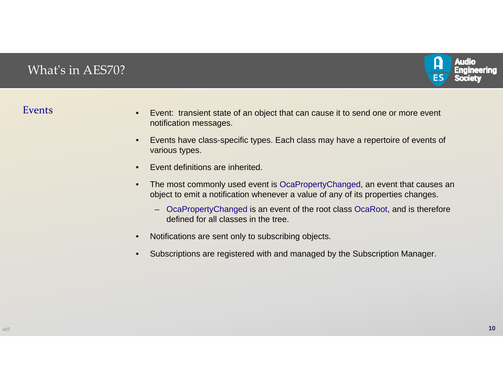

## Events

- • Event: transient state of an object that can cause it to send one or more event notification messages.
- • Events have class-specific types. Each class may have a repertoire of events of various types.
- •Event definitions are inherited.
- • The most commonly used event is OcaPropertyChanged, an event that causes an object to emit a notification whenever a value of any of its properties changes.
	- OcaPropertyChanged is an event of the root class OcaRoot, and is therefore defined for all classes in the tree.
- •Notifications are sent only to subscribing objects.
- •Subscriptions are registered with and managed by the Subscription Manager.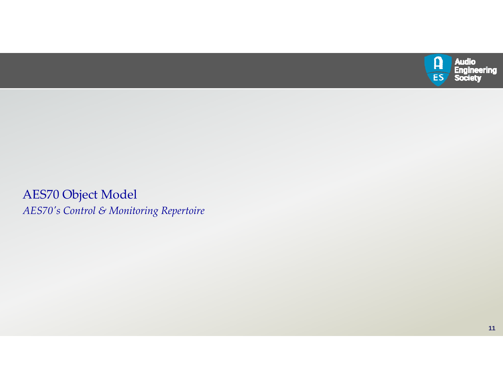

AES70 Object Model *AES70<sup>ʹ</sup><sup>s</sup> Control & Monitoring Repertoire*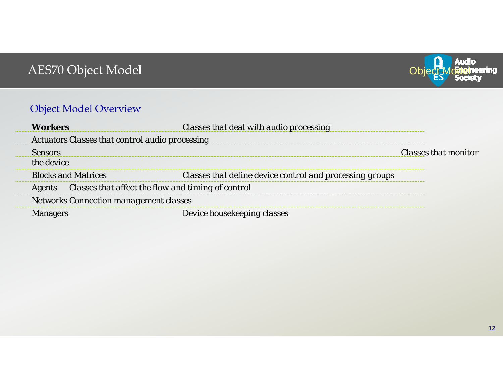

# Object Model Overview

|                                                        | <b>Classes that deal with audio processing</b>           |                             |  |
|--------------------------------------------------------|----------------------------------------------------------|-----------------------------|--|
| <b>Actuators Classes that control audio processing</b> |                                                          |                             |  |
|                                                        |                                                          | <i>Classes that monitor</i> |  |
| a device.                                              |                                                          |                             |  |
| <b>Blocks and Matrices</b>                             | Classes that define device control and processing groups |                             |  |
| Classes that affect the flow and timing of control     |                                                          |                             |  |
| Networks Connection management classes                 |                                                          |                             |  |
|                                                        | )evice housekeeping ci                                   |                             |  |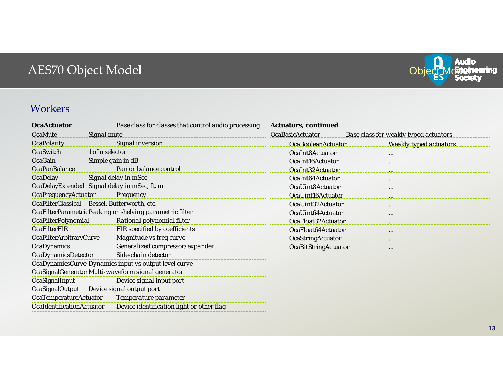

## Workers

| <b>OcaActuator</b>                                    | Base class for classes that control audio processing     | <b>Actuators, continued</b> |                                              |
|-------------------------------------------------------|----------------------------------------------------------|-----------------------------|----------------------------------------------|
| <b>OcaMute</b>                                        | Signal mute                                              | <b>OcaBasicActuator</b>     | <b>Base class for weakly typed actuators</b> |
| <b>OcaPolarity</b>                                    | Signal inversion                                         | OcaBooleanActuator          | Weakly typed actuators                       |
| OcaSwitch                                             | 1 of n selector                                          | OcaInt8Actuator             |                                              |
| OcaGain                                               | Simple gain in dB                                        | OcaInt16Actuator            |                                              |
| <b>OcaPanBalance</b>                                  | Pan or balance control                                   | OcaInt32Actuator            |                                              |
| <b>OcaDelay</b>                                       | Signal delay in mSec                                     | OcaInt64Actuator            |                                              |
|                                                       | OcaDelayExtended Signal delay in mSec, ft, m             | OcaUint8Actuator            |                                              |
| OcaFrequencyActuator                                  | Frequency                                                | OcaUint16Actuator           |                                              |
|                                                       | OcaFilterClassical Bessel, Butterworth, etc.             | OcaUint32Actuator           |                                              |
|                                                       | OcaFilterParametricPeaking or shelving parametric filter | OcaUint64Actuator           |                                              |
| <b>OcaFilterPolynomial</b>                            | Rational polynomial filter                               | OcaFloat32Actuator          |                                              |
| <b>OcaFilterFIR</b>                                   | FIR specified by coefficients                            | OcaFloat64Actuator          |                                              |
| OcaFilterArbitraryCurve                               | Magnitude vs freq curve                                  | OcaStringActuator           | $\cdots$                                     |
| <b>OcaDynamics</b>                                    | Generalized compressor/expander                          | OcaBitStringActuator        |                                              |
| OcaDynamicsDetector                                   | Side-chain detector                                      |                             |                                              |
| OcaDynamicsCurve Dynamics input vs output level curve |                                                          |                             |                                              |
| OcaSignalGenerator Multi-waveform signal generator    |                                                          |                             |                                              |
| OcaSignalInput                                        | Device signal input port                                 |                             |                                              |
|                                                       | OcaSignalOutput Device signal output port                |                             |                                              |
| OcaTemperatureActuator                                | Temperature parameter                                    |                             |                                              |
| OcaldentificationActuator                             | Device identification light or other flag                |                             |                                              |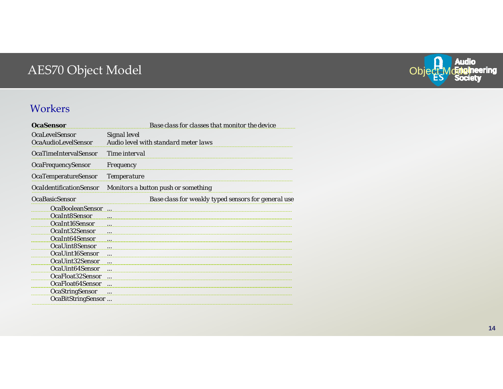

## Workers

| <b>OcaSensor</b>               | Base class for classes that monitor the device      |
|--------------------------------|-----------------------------------------------------|
| <b>OcaLevelSensor</b>          | Signal level                                        |
| OcaAudioLevelSensor            | Audio level with standard meter laws                |
| <b>OcaTimeIntervalSensor</b>   | Time interval                                       |
| OcaFrequencySensor             | Frequency                                           |
| <b>OcaTemperatureSensor</b>    | <b>Temperature</b>                                  |
| <b>OcaldentificationSensor</b> | Monitors a button push or something                 |
| <b>OcaBasicSensor</b>          | Base class for weakly typed sensors for general use |
| <b>OcaBooleanSensor</b>        |                                                     |
| OcaInt8Sensor                  | $\cdots$                                            |
| OcaInt16Sensor                 | $\cdots$                                            |
| OcaInt32Sensor                 |                                                     |
| OcaInt64Sensor                 | $\cdots$                                            |
| OcaUint8Sensor                 | $\ddotsc$                                           |
| OcaUint16Sensor                | $\cdots$                                            |
| OcaUint32Sensor                |                                                     |
| OcaUint64Sensor                |                                                     |
| OcaFloat32Sensor               | $\ddotsc$                                           |
| OcaFloat64Sensor               |                                                     |
| OcaStringSensor                |                                                     |
| OcaBitStringSensor             |                                                     |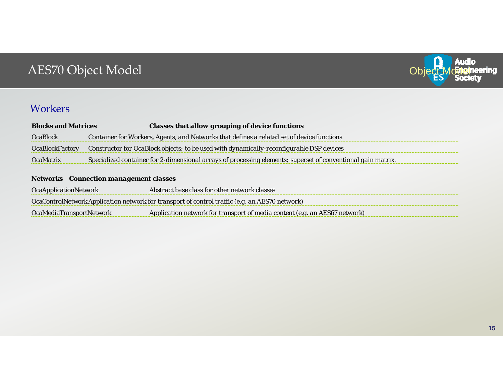

## **Workers**

| <b>Blocks and Matrices</b> | <b>Classes that allow grouping of device functions</b>                                                       |
|----------------------------|--------------------------------------------------------------------------------------------------------------|
| <b>OcaBlock</b>            | Container for Workers, Agents, and Networks that defines a related set of device functions                   |
| <b>OcaBlockFactory</b>     | Constructor for OcaBlock objects; to be used with dynamically-reconfigurable DSP devices                     |
| <b>OcaMatrix</b>           | Specialized container for 2-dimensional arrays of processing elements; superset of conventional gain matrix. |
|                            |                                                                                                              |

### **Networks** *Connection management classes*

| <b>OcaApplicationNetwork</b>    | Abstract base class for other network classes                                                  |
|---------------------------------|------------------------------------------------------------------------------------------------|
|                                 | OcaControlNetwork Application network for transport of control traffic (e.g. an AES70 network) |
| <b>OcaMediaTransportNetwork</b> | Application network for transport of media content (e.g. an AES67 network)                     |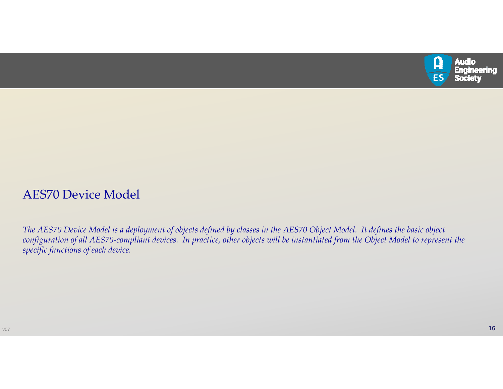

# AES70 Device Model

The AES70 Device Model is a deployment of objects defined by classes in the AES70 Object Model. It defines the basic object configuration of all AES70-compliant devices. In practice, other objects will be instantiated from the Object Model to represent the *specific functions of each device.*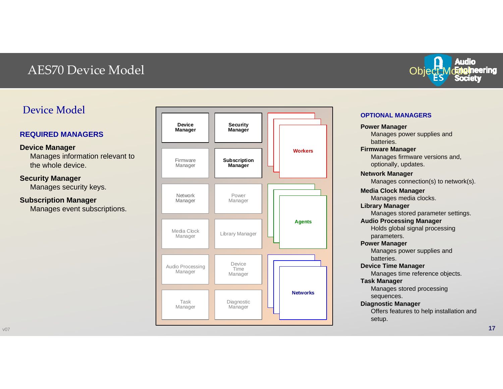# AES70 Device Model

## Device Model

### **REQUIRED MANAGERS**

### **Device Manager**

Manages information relevant to the whole device.

### **Security Manager**

Manages security keys.

### **Subscription Manager**

Manages event subscriptions.





### **OPTIONAL MANAGERS**

**Power Manager** Manages power supplies and batteries. **Firmware Manager** Manages firmware versions and, optionally, updates. **Network Manager** Manages connection(s) to network(s). **Media Clock Manager** Manages media clocks. **Library Manager** Manages stored parameter settings. **Audio Processing Manager** Holds global signal processing parameters. **Power Manager** Manages power supplies and batteries. **Device Time Manager** Manages time reference objects. **Task Manager** Manages stored processing sequences. **Diagnostic Manager** Offers features to help installation and setup.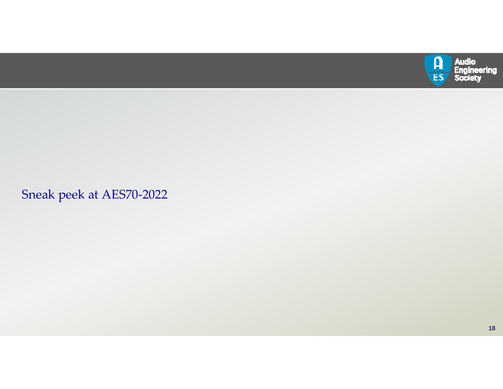

Sneak peek at AES70‐2022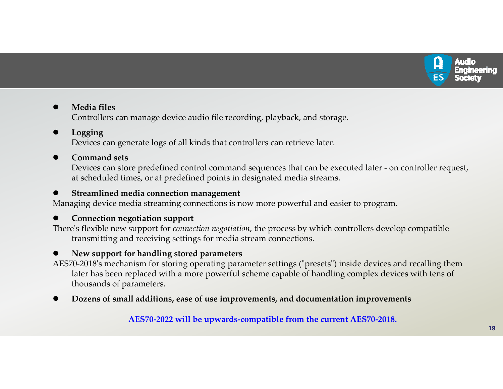

### $\bullet$ **Media files**

Controllers can manage device audio file recording, playback, and storage.

### $\bullet$ **Logging**

Devices can generate logs of all kinds that controllers can retrieve later.

### $\bullet$ **Command sets**

Devices can store predefined control command sequences that can be executed later ‐ on controller request, at scheduled times, or at predefined points in designated media streams.

### $\bullet$ **Streamlined media connection managemen<sup>t</sup>**

Managing device media streaming connections is now more powerful and easier to program.

### $\bullet$ **Connection negotiation suppor<sup>t</sup>**

There<sup>ʹ</sup>s flexible new suppor<sup>t</sup> for *connection negotiation*, the process by which controllers develop compatible transmitting and receiving settings for media stream connections.

### $\bullet$ **New suppor<sup>t</sup> for handling stored parameters**

AES70-2018's mechanism for storing operating parameter settings ("presets") inside devices and recalling them later has been replaced with <sup>a</sup> more powerful scheme capable of handling complex devices with tens of thousands of parameters.

 $\bullet$ **Dozens of small additions, ease of use improvements, and documentation improvements**

**AES70‐2022 will be upwards‐compatible from the current AES70‐2018.**